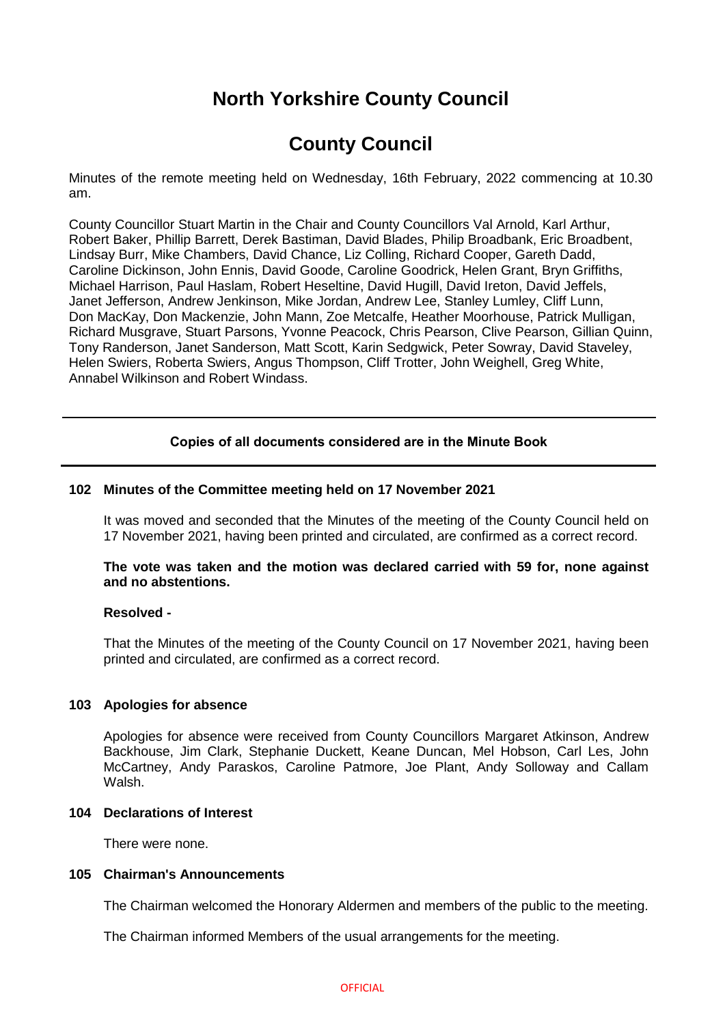# **North Yorkshire County Council**

# **County Council**

Minutes of the remote meeting held on Wednesday, 16th February, 2022 commencing at 10.30 am.

County Councillor Stuart Martin in the Chair and County Councillors Val Arnold, Karl Arthur, Robert Baker, Phillip Barrett, Derek Bastiman, David Blades, Philip Broadbank, Eric Broadbent, Lindsay Burr, Mike Chambers, David Chance, Liz Colling, Richard Cooper, Gareth Dadd, Caroline Dickinson, John Ennis, David Goode, Caroline Goodrick, Helen Grant, Bryn Griffiths, Michael Harrison, Paul Haslam, Robert Heseltine, David Hugill, David Ireton, David Jeffels, Janet Jefferson, Andrew Jenkinson, Mike Jordan, Andrew Lee, Stanley Lumley, Cliff Lunn, Don MacKay, Don Mackenzie, John Mann, Zoe Metcalfe, Heather Moorhouse, Patrick Mulligan, Richard Musgrave, Stuart Parsons, Yvonne Peacock, Chris Pearson, Clive Pearson, Gillian Quinn, Tony Randerson, Janet Sanderson, Matt Scott, Karin Sedgwick, Peter Sowray, David Staveley, Helen Swiers, Roberta Swiers, Angus Thompson, Cliff Trotter, John Weighell, Greg White, Annabel Wilkinson and Robert Windass.

# **Copies of all documents considered are in the Minute Book**

# **102 Minutes of the Committee meeting held on 17 November 2021**

It was moved and seconded that the Minutes of the meeting of the County Council held on 17 November 2021, having been printed and circulated, are confirmed as a correct record.

# **The vote was taken and the motion was declared carried with 59 for, none against and no abstentions.**

#### **Resolved -**

That the Minutes of the meeting of the County Council on 17 November 2021, having been printed and circulated, are confirmed as a correct record.

#### **103 Apologies for absence**

Apologies for absence were received from County Councillors Margaret Atkinson, Andrew Backhouse, Jim Clark, Stephanie Duckett, Keane Duncan, Mel Hobson, Carl Les, John McCartney, Andy Paraskos, Caroline Patmore, Joe Plant, Andy Solloway and Callam Walsh.

# **104 Declarations of Interest**

There were none.

# **105 Chairman's Announcements**

The Chairman welcomed the Honorary Aldermen and members of the public to the meeting.

The Chairman informed Members of the usual arrangements for the meeting.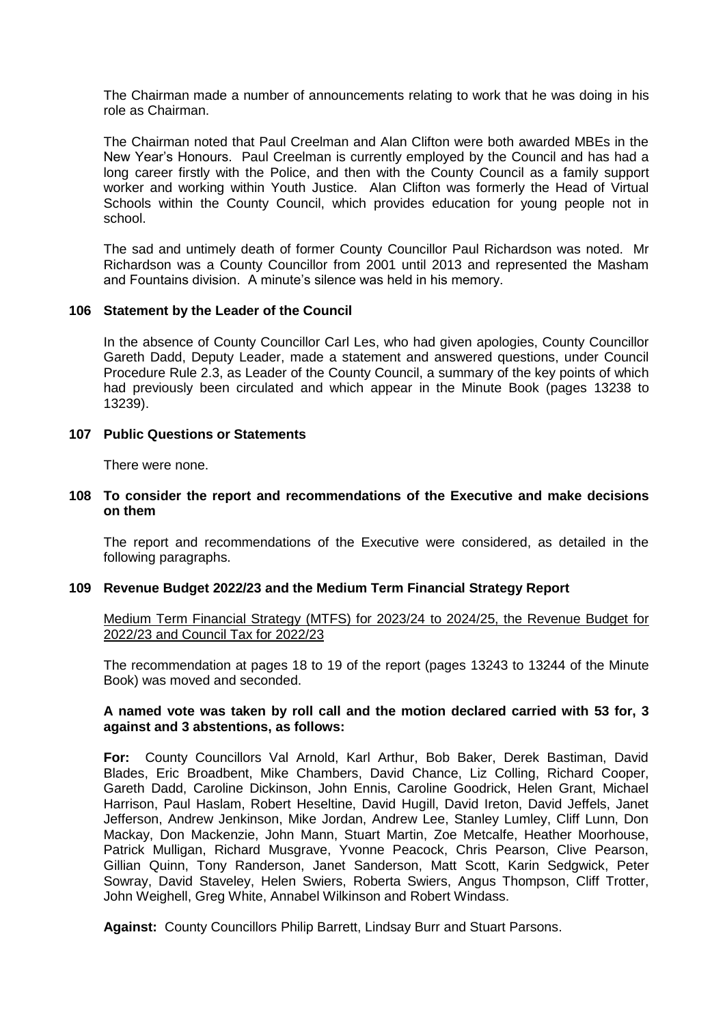The Chairman made a number of announcements relating to work that he was doing in his role as Chairman.

The Chairman noted that Paul Creelman and Alan Clifton were both awarded MBEs in the New Year's Honours. Paul Creelman is currently employed by the Council and has had a long career firstly with the Police, and then with the County Council as a family support worker and working within Youth Justice. Alan Clifton was formerly the Head of Virtual Schools within the County Council, which provides education for young people not in school.

The sad and untimely death of former County Councillor Paul Richardson was noted. Mr Richardson was a County Councillor from 2001 until 2013 and represented the Masham and Fountains division. A minute's silence was held in his memory.

# **106 Statement by the Leader of the Council**

In the absence of County Councillor Carl Les, who had given apologies, County Councillor Gareth Dadd, Deputy Leader, made a statement and answered questions, under Council Procedure Rule 2.3, as Leader of the County Council, a summary of the key points of which had previously been circulated and which appear in the Minute Book (pages 13238 to 13239).

# **107 Public Questions or Statements**

There were none.

# **108 To consider the report and recommendations of the Executive and make decisions on them**

The report and recommendations of the Executive were considered, as detailed in the following paragraphs.

# **109 Revenue Budget 2022/23 and the Medium Term Financial Strategy Report**

Medium Term Financial Strategy (MTFS) for 2023/24 to 2024/25, the Revenue Budget for 2022/23 and Council Tax for 2022/23

The recommendation at pages 18 to 19 of the report (pages 13243 to 13244 of the Minute Book) was moved and seconded.

# **A named vote was taken by roll call and the motion declared carried with 53 for, 3 against and 3 abstentions, as follows:**

**For:** County Councillors Val Arnold, Karl Arthur, Bob Baker, Derek Bastiman, David Blades, Eric Broadbent, Mike Chambers, David Chance, Liz Colling, Richard Cooper, Gareth Dadd, Caroline Dickinson, John Ennis, Caroline Goodrick, Helen Grant, Michael Harrison, Paul Haslam, Robert Heseltine, David Hugill, David Ireton, David Jeffels, Janet Jefferson, Andrew Jenkinson, Mike Jordan, Andrew Lee, Stanley Lumley, Cliff Lunn, Don Mackay, Don Mackenzie, John Mann, Stuart Martin, Zoe Metcalfe, Heather Moorhouse, Patrick Mulligan, Richard Musgrave, Yvonne Peacock, Chris Pearson, Clive Pearson, Gillian Quinn, Tony Randerson, Janet Sanderson, Matt Scott, Karin Sedgwick, Peter Sowray, David Staveley, Helen Swiers, Roberta Swiers, Angus Thompson, Cliff Trotter, John Weighell, Greg White, Annabel Wilkinson and Robert Windass.

**Against:** County Councillors Philip Barrett, Lindsay Burr and Stuart Parsons.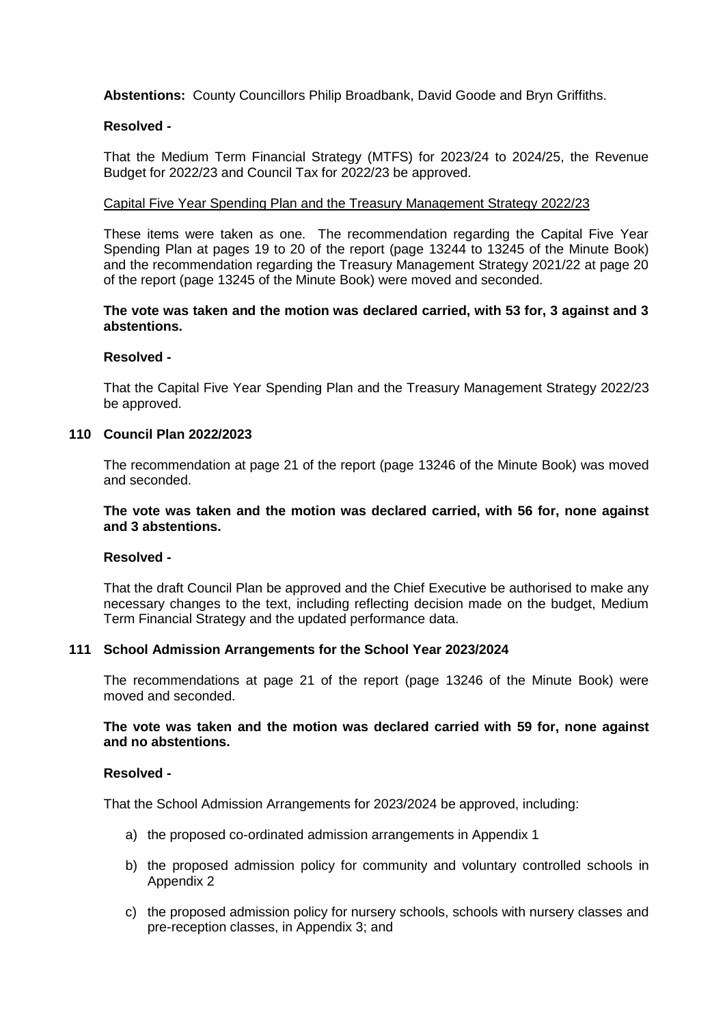**Abstentions:** County Councillors Philip Broadbank, David Goode and Bryn Griffiths.

# **Resolved -**

That the Medium Term Financial Strategy (MTFS) for 2023/24 to 2024/25, the Revenue Budget for 2022/23 and Council Tax for 2022/23 be approved.

# Capital Five Year Spending Plan and the Treasury Management Strategy 2022/23

These items were taken as one. The recommendation regarding the Capital Five Year Spending Plan at pages 19 to 20 of the report (page 13244 to 13245 of the Minute Book) and the recommendation regarding the Treasury Management Strategy 2021/22 at page 20 of the report (page 13245 of the Minute Book) were moved and seconded.

# **The vote was taken and the motion was declared carried, with 53 for, 3 against and 3 abstentions.**

## **Resolved -**

That the Capital Five Year Spending Plan and the Treasury Management Strategy 2022/23 be approved.

#### **110 Council Plan 2022/2023**

The recommendation at page 21 of the report (page 13246 of the Minute Book) was moved and seconded.

# **The vote was taken and the motion was declared carried, with 56 for, none against and 3 abstentions.**

#### **Resolved -**

That the draft Council Plan be approved and the Chief Executive be authorised to make any necessary changes to the text, including reflecting decision made on the budget, Medium Term Financial Strategy and the updated performance data.

#### **111 School Admission Arrangements for the School Year 2023/2024**

The recommendations at page 21 of the report (page 13246 of the Minute Book) were moved and seconded.

# **The vote was taken and the motion was declared carried with 59 for, none against and no abstentions.**

#### **Resolved -**

That the School Admission Arrangements for 2023/2024 be approved, including:

- a) the proposed co-ordinated admission arrangements in Appendix 1
- b) the proposed admission policy for community and voluntary controlled schools in Appendix 2
- c) the proposed admission policy for nursery schools, schools with nursery classes and pre-reception classes, in Appendix 3; and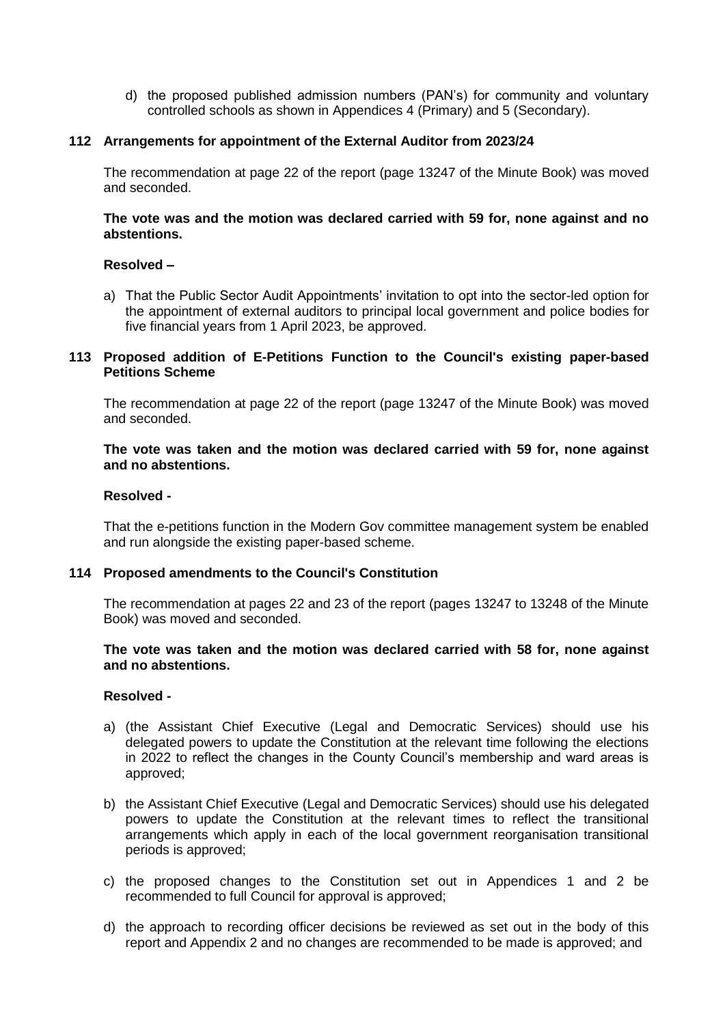d) the proposed published admission numbers (PAN's) for community and voluntary controlled schools as shown in Appendices 4 (Primary) and 5 (Secondary).

# **112 Arrangements for appointment of the External Auditor from 2023/24**

The recommendation at page 22 of the report (page 13247 of the Minute Book) was moved and seconded.

# **The vote was and the motion was declared carried with 59 for, none against and no abstentions.**

#### **Resolved –**

a) That the Public Sector Audit Appointments' invitation to opt into the sector-led option for the appointment of external auditors to principal local government and police bodies for five financial years from 1 April 2023, be approved.

# **113 Proposed addition of E-Petitions Function to the Council's existing paper-based Petitions Scheme**

The recommendation at page 22 of the report (page 13247 of the Minute Book) was moved and seconded.

# **The vote was taken and the motion was declared carried with 59 for, none against and no abstentions.**

#### **Resolved -**

That the e-petitions function in the Modern Gov committee management system be enabled and run alongside the existing paper-based scheme.

#### **114 Proposed amendments to the Council's Constitution**

The recommendation at pages 22 and 23 of the report (pages 13247 to 13248 of the Minute Book) was moved and seconded.

# **The vote was taken and the motion was declared carried with 58 for, none against and no abstentions.**

#### **Resolved -**

- a) (the Assistant Chief Executive (Legal and Democratic Services) should use his delegated powers to update the Constitution at the relevant time following the elections in 2022 to reflect the changes in the County Council's membership and ward areas is approved;
- b) the Assistant Chief Executive (Legal and Democratic Services) should use his delegated powers to update the Constitution at the relevant times to reflect the transitional arrangements which apply in each of the local government reorganisation transitional periods is approved;
- c) the proposed changes to the Constitution set out in Appendices 1 and 2 be recommended to full Council for approval is approved;
- d) the approach to recording officer decisions be reviewed as set out in the body of this report and Appendix 2 and no changes are recommended to be made is approved; and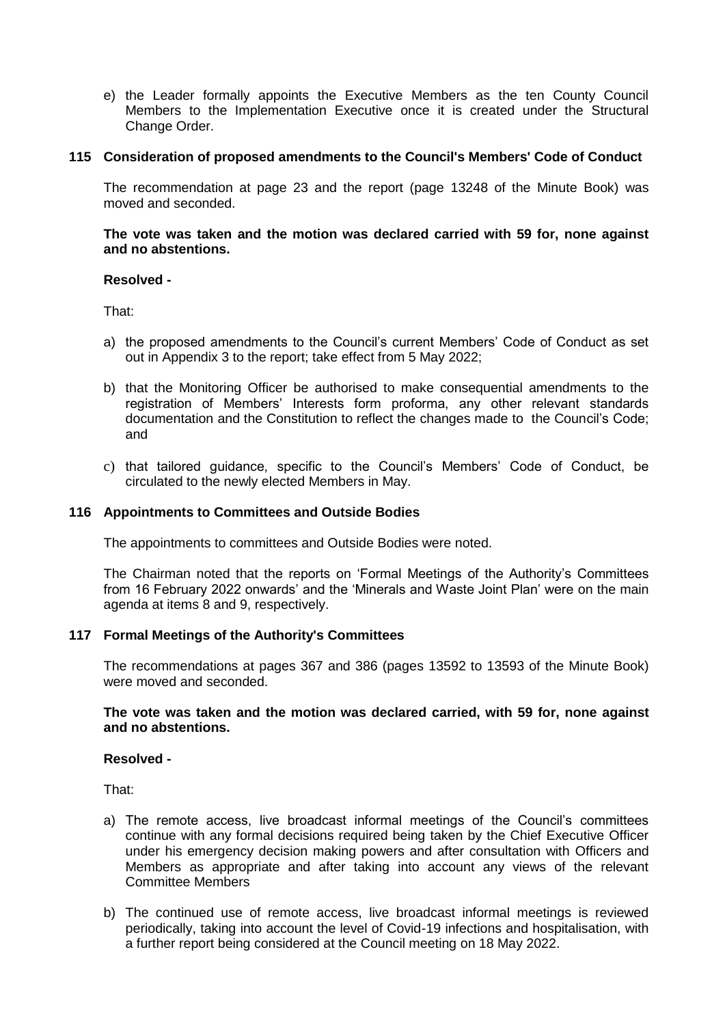e) the Leader formally appoints the Executive Members as the ten County Council Members to the Implementation Executive once it is created under the Structural Change Order.

# **115 Consideration of proposed amendments to the Council's Members' Code of Conduct**

The recommendation at page 23 and the report (page 13248 of the Minute Book) was moved and seconded.

**The vote was taken and the motion was declared carried with 59 for, none against and no abstentions.**

#### **Resolved -**

That:

- a) the proposed amendments to the Council's current Members' Code of Conduct as set out in Appendix 3 to the report; take effect from 5 May 2022;
- b) that the Monitoring Officer be authorised to make consequential amendments to the registration of Members' Interests form proforma, any other relevant standards documentation and the Constitution to reflect the changes made to the Council's Code; and
- c) that tailored guidance, specific to the Council's Members' Code of Conduct, be circulated to the newly elected Members in May.

# **116 Appointments to Committees and Outside Bodies**

The appointments to committees and Outside Bodies were noted.

The Chairman noted that the reports on 'Formal Meetings of the Authority's Committees from 16 February 2022 onwards' and the 'Minerals and Waste Joint Plan' were on the main agenda at items 8 and 9, respectively.

#### **117 Formal Meetings of the Authority's Committees**

The recommendations at pages 367 and 386 (pages 13592 to 13593 of the Minute Book) were moved and seconded.

#### **The vote was taken and the motion was declared carried, with 59 for, none against and no abstentions.**

#### **Resolved -**

That:

- a) The remote access, live broadcast informal meetings of the Council's committees continue with any formal decisions required being taken by the Chief Executive Officer under his emergency decision making powers and after consultation with Officers and Members as appropriate and after taking into account any views of the relevant Committee Members
- b) The continued use of remote access, live broadcast informal meetings is reviewed periodically, taking into account the level of Covid-19 infections and hospitalisation, with a further report being considered at the Council meeting on 18 May 2022.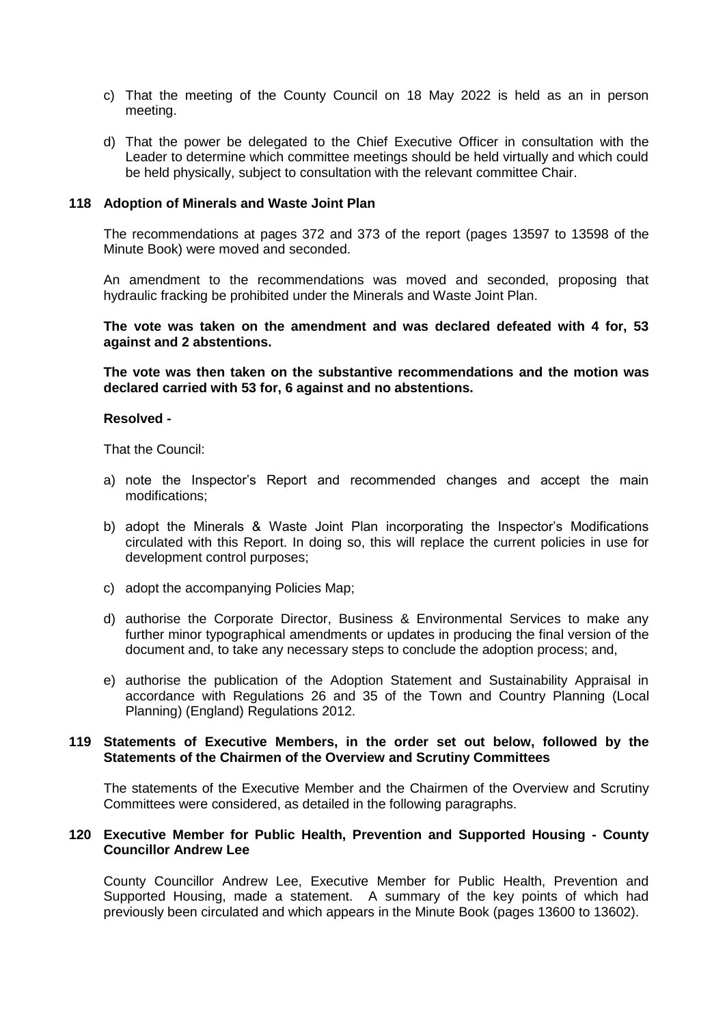- c) That the meeting of the County Council on 18 May 2022 is held as an in person meeting.
- d) That the power be delegated to the Chief Executive Officer in consultation with the Leader to determine which committee meetings should be held virtually and which could be held physically, subject to consultation with the relevant committee Chair.

#### **118 Adoption of Minerals and Waste Joint Plan**

The recommendations at pages 372 and 373 of the report (pages 13597 to 13598 of the Minute Book) were moved and seconded.

An amendment to the recommendations was moved and seconded, proposing that hydraulic fracking be prohibited under the Minerals and Waste Joint Plan.

**The vote was taken on the amendment and was declared defeated with 4 for, 53 against and 2 abstentions.** 

**The vote was then taken on the substantive recommendations and the motion was declared carried with 53 for, 6 against and no abstentions.**

#### **Resolved -**

That the Council:

- a) note the Inspector's Report and recommended changes and accept the main modifications;
- b) adopt the Minerals & Waste Joint Plan incorporating the Inspector's Modifications circulated with this Report. In doing so, this will replace the current policies in use for development control purposes;
- c) adopt the accompanying Policies Map;
- d) authorise the Corporate Director, Business & Environmental Services to make any further minor typographical amendments or updates in producing the final version of the document and, to take any necessary steps to conclude the adoption process; and,
- e) authorise the publication of the Adoption Statement and Sustainability Appraisal in accordance with Regulations 26 and 35 of the Town and Country Planning (Local Planning) (England) Regulations 2012.

#### **119 Statements of Executive Members, in the order set out below, followed by the Statements of the Chairmen of the Overview and Scrutiny Committees**

The statements of the Executive Member and the Chairmen of the Overview and Scrutiny Committees were considered, as detailed in the following paragraphs.

#### **120 Executive Member for Public Health, Prevention and Supported Housing - County Councillor Andrew Lee**

County Councillor Andrew Lee, Executive Member for Public Health, Prevention and Supported Housing, made a statement. A summary of the key points of which had previously been circulated and which appears in the Minute Book (pages 13600 to 13602).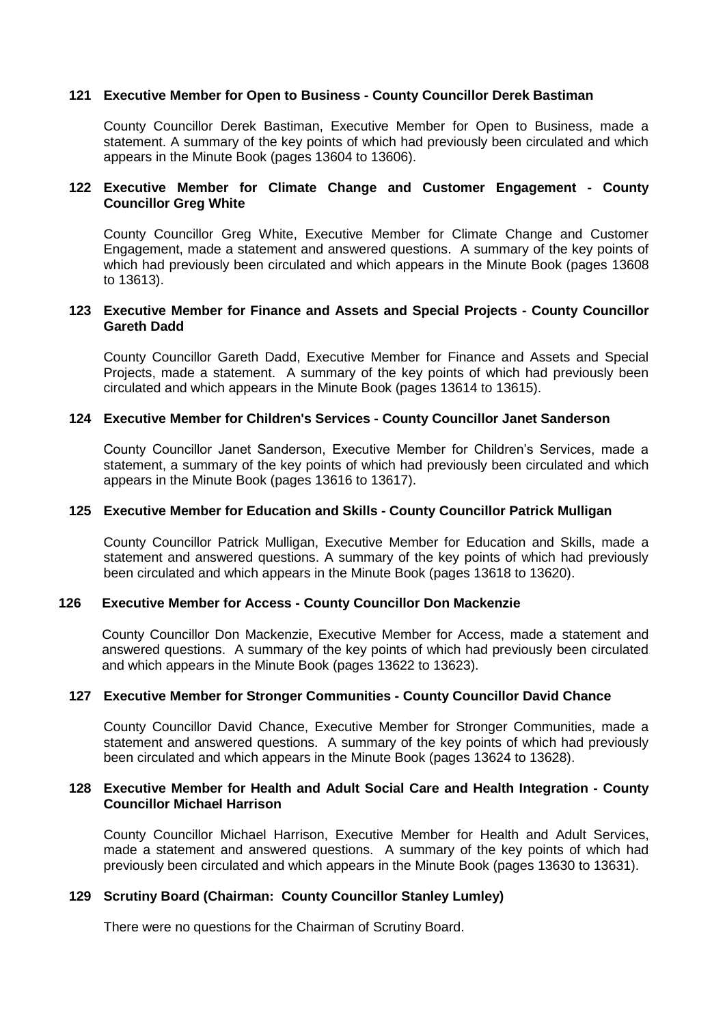## **121 Executive Member for Open to Business - County Councillor Derek Bastiman**

County Councillor Derek Bastiman, Executive Member for Open to Business, made a statement. A summary of the key points of which had previously been circulated and which appears in the Minute Book (pages 13604 to 13606).

# **122 Executive Member for Climate Change and Customer Engagement - County Councillor Greg White**

County Councillor Greg White, Executive Member for Climate Change and Customer Engagement, made a statement and answered questions. A summary of the key points of which had previously been circulated and which appears in the Minute Book (pages 13608 to 13613).

# **123 Executive Member for Finance and Assets and Special Projects - County Councillor Gareth Dadd**

County Councillor Gareth Dadd, Executive Member for Finance and Assets and Special Projects, made a statement. A summary of the key points of which had previously been circulated and which appears in the Minute Book (pages 13614 to 13615).

# **124 Executive Member for Children's Services - County Councillor Janet Sanderson**

County Councillor Janet Sanderson, Executive Member for Children's Services, made a statement, a summary of the key points of which had previously been circulated and which appears in the Minute Book (pages 13616 to 13617).

#### **125 Executive Member for Education and Skills - County Councillor Patrick Mulligan**

County Councillor Patrick Mulligan, Executive Member for Education and Skills, made a statement and answered questions. A summary of the key points of which had previously been circulated and which appears in the Minute Book (pages 13618 to 13620).

#### **126 Executive Member for Access - County Councillor Don Mackenzie**

County Councillor Don Mackenzie, Executive Member for Access, made a statement and answered questions. A summary of the key points of which had previously been circulated and which appears in the Minute Book (pages 13622 to 13623).

#### **127 Executive Member for Stronger Communities - County Councillor David Chance**

County Councillor David Chance, Executive Member for Stronger Communities, made a statement and answered questions. A summary of the key points of which had previously been circulated and which appears in the Minute Book (pages 13624 to 13628).

# **128 Executive Member for Health and Adult Social Care and Health Integration - County Councillor Michael Harrison**

County Councillor Michael Harrison, Executive Member for Health and Adult Services, made a statement and answered questions. A summary of the key points of which had previously been circulated and which appears in the Minute Book (pages 13630 to 13631).

#### **129 Scrutiny Board (Chairman: County Councillor Stanley Lumley)**

There were no questions for the Chairman of Scrutiny Board.